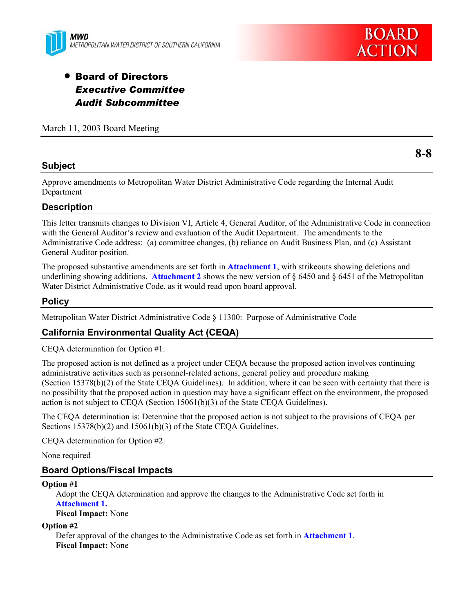



# **• Board of Directors** *Executive Committee Audit Subcommittee*

March 11, 2003 Board Meeting

## **Subject**

**8-8** 

Approve amendments to Metropolitan Water District Administrative Code regarding the Internal Audit Department

## **Description**

This letter transmits changes to Division VI, Article 4, General Auditor, of the Administrative Code in connection with the General Auditor's review and evaluation of the Audit Department. The amendments to the Administrative Code address: (a) committee changes, (b) reliance on Audit Business Plan, and (c) Assistant General Auditor position.

The proposed substantive amendments are set forth in **Attachment 1**, with strikeouts showing deletions and underlining showing additions. **Attachment 2** shows the new version of § 6450 and § 6451 of the Metropolitan Water District Administrative Code, as it would read upon board approval.

## **Policy**

Metropolitan Water District Administrative Code § 11300: Purpose of Administrative Code

## **California Environmental Quality Act (CEQA)**

CEQA determination for Option #1:

The proposed action is not defined as a project under CEQA because the proposed action involves continuing administrative activities such as personnel-related actions, general policy and procedure making (Section 15378(b)(2) of the State CEQA Guidelines). In addition, where it can be seen with certainty that there is no possibility that the proposed action in question may have a significant effect on the environment, the proposed action is not subject to CEQA (Section 15061(b)(3) of the State CEQA Guidelines).

The CEQA determination is: Determine that the proposed action is not subject to the provisions of CEQA per Sections 15378(b)(2) and 15061(b)(3) of the State CEQA Guidelines.

CEQA determination for Option #2:

None required

## **Board Options/Fiscal Impacts**

### **Option #1**

Adopt the CEQA determination and approve the changes to the Administrative Code set forth in **Attachment 1.**

### **Fiscal Impact:** None

### **Option #2**

Defer approval of the changes to the Administrative Code as set forth in **Attachment 1**. **Fiscal Impact:** None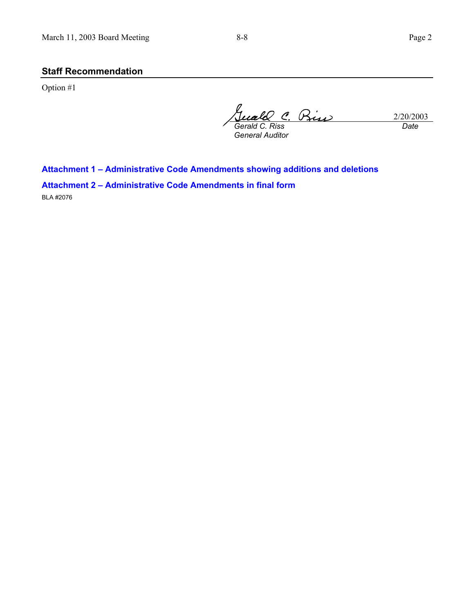## **Staff Recommendation**

Option #1

2/20/2003 *Gerald C. Riss General Auditor Date*

**Attachment 1 – Administrative Code Amendments showing additions and deletions** 

**Attachment 2 – Administrative Code Amendments in final form**  BLA #2076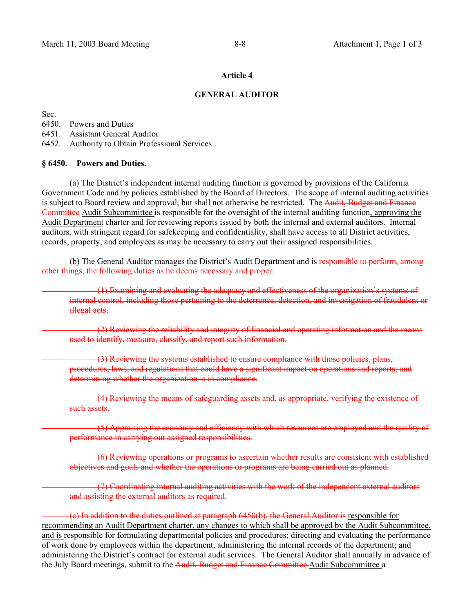## **Article 4**

### **GENERAL AUDITOR**

Sec.

6450. Powers and Duties

6451. Assistant General Auditor

6452. Authority to Obtain Professional Services

### **§ 6450. Powers and Duties.**

 (a) The District's independent internal auditing function is governed by provisions of the California Government Code and by policies established by the Board of Directors. The scope of internal auditing activities is subject to Board review and approval, but shall not otherwise be restricted. The Audit, Budget and Finance Committee Audit Subcommittee is responsible for the oversight of the internal auditing function, approving the Audit Department charter and for reviewing reports issued by both the internal and external auditors. Internal auditors, with stringent regard for safekeeping and confidentiality, shall have access to all District activities, records, property, and employees as may be necessary to carry out their assigned responsibilities.

(b) The General Auditor manages the District's Audit Department and is responsible to perform, among other things, the following duties as he deems necessary and proper:

(1) Examining and evaluating the adequacy and effectiveness of the organization's systems of internal control, including those pertaining to the deterrence, detection, and investigation of fraudulent or illegal acts.

(2) Reviewing the reliability and integrity of financial and operating information and the means used to identify, measure, classify, and report such information.

(3) Reviewing the systems established to ensure compliance with those policies, plans, procedures, laws, and regulations that could have a significant impact on operations and reports, and determining whether the organization is in compliance.

(4) Reviewing the means of safeguarding assets and, as appropriate, verifying the existence of such assets.

(5) Appraising the economy and efficiency with which resources are employed and the quality of performance in carrying out assigned responsibilities.

(6) Reviewing operations or programs to ascertain whether results are consistent with established objectives and goals and whether the operations or programs are being carried out as planned.

(7) Coordinating internal auditing activities with the work of the independent external auditors and assisting the external auditors as required.

(c) In addition to the duties outlined at paragraph 6450(b), the General Auditor is responsible for recommending an Audit Department charter, any changes to which shall be approved by the Audit Subcommittee, and is responsible for formulating departmental policies and procedures; directing and evaluating the performance of work done by employees within the department, administering the internal records of the department; and administering the District's contract for external audit services. The General Auditor shall annually in advance of the July Board meetings, submit to the Audit, Budget and Finance Committee Audit Subcommittee a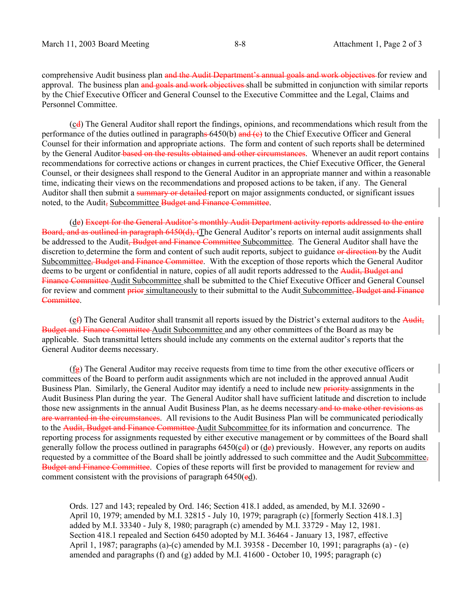comprehensive Audit business plan and the Audit Department's annual goals and work objectives for review and approval. The business plan and goals and work objectives shall be submitted in conjunction with similar reports by the Chief Executive Officer and General Counsel to the Executive Committee and the Legal, Claims and Personnel Committee.

 (cd) The General Auditor shall report the findings, opinions, and recommendations which result from the performance of the duties outlined in paragraphs  $6450(b)$  and  $(e)$  to the Chief Executive Officer and General Counsel for their information and appropriate actions. The form and content of such reports shall be determined by the General Auditor based on the results obtained and other circumstances. Whenever an audit report contains recommendations for corrective actions or changes in current practices, the Chief Executive Officer, the General Counsel, or their designees shall respond to the General Auditor in an appropriate manner and within a reasonable time, indicating their views on the recommendations and proposed actions to be taken, if any. The General Auditor shall then submit a summary or detailed report on major assignments conducted, or significant issues noted, to the Audit, Subcommittee Budget and Finance Committee.

 (de) Except for the General Auditor's monthly Audit Department activity reports addressed to the entire Board, and as outlined in paragraph 6450(d), tThe General Auditor's reports on internal audit assignments shall be addressed to the Audit<del>, Budget and Finance Committee</del> Subcommittee. The General Auditor shall have the discretion to determine the form and content of such audit reports, subject to guidance or direction by the Audit Subcommittee<del>, Budget and Finance Committee</del>. With the exception of those reports which the General Auditor deems to be urgent or confidential in nature, copies of all audit reports addressed to the Audit, Budget and Finance Committee Audit Subcommittee shall be submitted to the Chief Executive Officer and General Counsel for review and comment prior simultaneously to their submittal to the Audit Subcommittee, Budget and Finance Committee.

 $(e<sup>f</sup>)$  The General Auditor shall transmit all reports issued by the District's external auditors to the Audit, Budget and Finance Committee Audit Subcommittee and any other committees of the Board as may be applicable. Such transmittal letters should include any comments on the external auditor's reports that the General Auditor deems necessary.

 $(f_{\mathbf{g}})$  The General Auditor may receive requests from time to time from the other executive officers or committees of the Board to perform audit assignments which are not included in the approved annual Audit Business Plan. Similarly, the General Auditor may identify a need to include new priority assignments in the Audit Business Plan during the year. The General Auditor shall have sufficient latitude and discretion to include those new assignments in the annual Audit Business Plan, as he deems necessary and to make other revisions as are warranted in the circumstances. All revisions to the Audit Business Plan will be communicated periodically to the Audit, Budget and Finance Committee Audit Subcommittee for its information and concurrence. The reporting process for assignments requested by either executive management or by committees of the Board shall generally follow the process outlined in paragraphs  $6450(\underline{c}\cdot d)$  or  $(\underline{d}e)$  previously. However, any reports on audits requested by a committee of the Board shall be jointly addressed to such committee and the Audit Subcommittee, Budget and Finance Committee. Copies of these reports will first be provided to management for review and comment consistent with the provisions of paragraph 6450(ed).

Ords. 127 and 143; repealed by Ord. 146; Section 418.1 added, as amended, by M.I. 32690 - April 10, 1979; amended by M.I. 32815 - July 10, 1979; paragraph (c) [formerly Section 418.1.3] added by M.I. 33340 - July 8, 1980; paragraph (c) amended by M.I. 33729 - May 12, 1981. Section 418.1 repealed and Section 6450 adopted by M.I. 36464 - January 13, 1987, effective April 1, 1987; paragraphs (a)-(c) amended by M.I. 39358 - December 10, 1991; paragraphs (a) - (e) amended and paragraphs (f) and (g) added by M.I.  $41600$  - October 10, 1995; paragraph (c)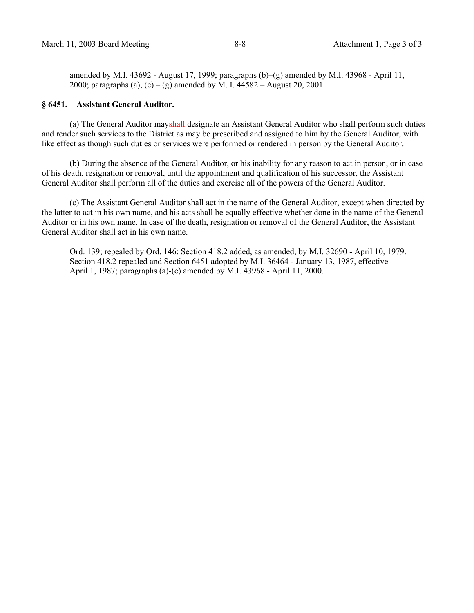amended by M.I. 43692 - August 17, 1999; paragraphs  $(b)$ – $(g)$  amended by M.I. 43968 - April 11, 2000; paragraphs (a), (c) – (g) amended by M. I.  $44582 -$  August 20, 2001.

### **§ 6451. Assistant General Auditor.**

(a) The General Auditor mayshall designate an Assistant General Auditor who shall perform such duties and render such services to the District as may be prescribed and assigned to him by the General Auditor, with like effect as though such duties or services were performed or rendered in person by the General Auditor.

 (b) During the absence of the General Auditor, or his inability for any reason to act in person, or in case of his death, resignation or removal, until the appointment and qualification of his successor, the Assistant General Auditor shall perform all of the duties and exercise all of the powers of the General Auditor.

 (c) The Assistant General Auditor shall act in the name of the General Auditor, except when directed by the latter to act in his own name, and his acts shall be equally effective whether done in the name of the General Auditor or in his own name. In case of the death, resignation or removal of the General Auditor, the Assistant General Auditor shall act in his own name.

Ord. 139; repealed by Ord. 146; Section 418.2 added, as amended, by M.I. 32690 - April 10, 1979. Section 418.2 repealed and Section 6451 adopted by M.I. 36464 - January 13, 1987, effective April 1, 1987; paragraphs (a)-(c) amended by M.I. 43968 - April 11, 2000.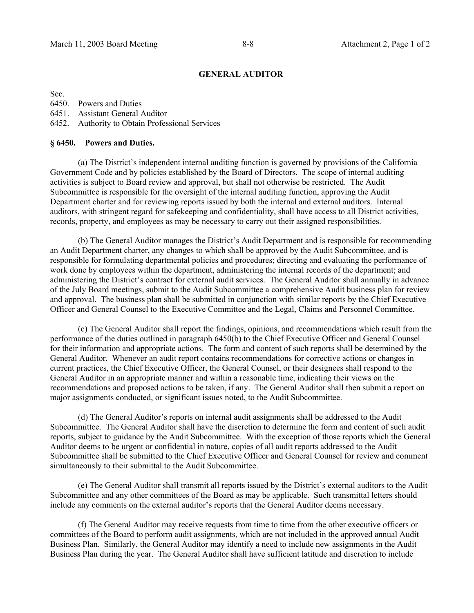## **GENERAL AUDITOR**

Sec.

6450. Powers and Duties

6451. Assistant General Auditor

6452. Authority to Obtain Professional Services

### **§ 6450. Powers and Duties.**

 (a) The District's independent internal auditing function is governed by provisions of the California Government Code and by policies established by the Board of Directors. The scope of internal auditing activities is subject to Board review and approval, but shall not otherwise be restricted. The Audit Subcommittee is responsible for the oversight of the internal auditing function, approving the Audit Department charter and for reviewing reports issued by both the internal and external auditors. Internal auditors, with stringent regard for safekeeping and confidentiality, shall have access to all District activities, records, property, and employees as may be necessary to carry out their assigned responsibilities.

 (b) The General Auditor manages the District's Audit Department and is responsible for recommending an Audit Department charter, any changes to which shall be approved by the Audit Subcommittee, and is responsible for formulating departmental policies and procedures; directing and evaluating the performance of work done by employees within the department, administering the internal records of the department; and administering the District's contract for external audit services. The General Auditor shall annually in advance of the July Board meetings, submit to the Audit Subcommittee a comprehensive Audit business plan for review and approval. The business plan shall be submitted in conjunction with similar reports by the Chief Executive Officer and General Counsel to the Executive Committee and the Legal, Claims and Personnel Committee.

 (c) The General Auditor shall report the findings, opinions, and recommendations which result from the performance of the duties outlined in paragraph 6450(b) to the Chief Executive Officer and General Counsel for their information and appropriate actions. The form and content of such reports shall be determined by the General Auditor. Whenever an audit report contains recommendations for corrective actions or changes in current practices, the Chief Executive Officer, the General Counsel, or their designees shall respond to the General Auditor in an appropriate manner and within a reasonable time, indicating their views on the recommendations and proposed actions to be taken, if any. The General Auditor shall then submit a report on major assignments conducted, or significant issues noted, to the Audit Subcommittee.

 (d) The General Auditor's reports on internal audit assignments shall be addressed to the Audit Subcommittee. The General Auditor shall have the discretion to determine the form and content of such audit reports, subject to guidance by the Audit Subcommittee. With the exception of those reports which the General Auditor deems to be urgent or confidential in nature, copies of all audit reports addressed to the Audit Subcommittee shall be submitted to the Chief Executive Officer and General Counsel for review and comment simultaneously to their submittal to the Audit Subcommittee.

 (e) The General Auditor shall transmit all reports issued by the District's external auditors to the Audit Subcommittee and any other committees of the Board as may be applicable. Such transmittal letters should include any comments on the external auditor's reports that the General Auditor deems necessary.

 (f) The General Auditor may receive requests from time to time from the other executive officers or committees of the Board to perform audit assignments, which are not included in the approved annual Audit Business Plan. Similarly, the General Auditor may identify a need to include new assignments in the Audit Business Plan during the year. The General Auditor shall have sufficient latitude and discretion to include